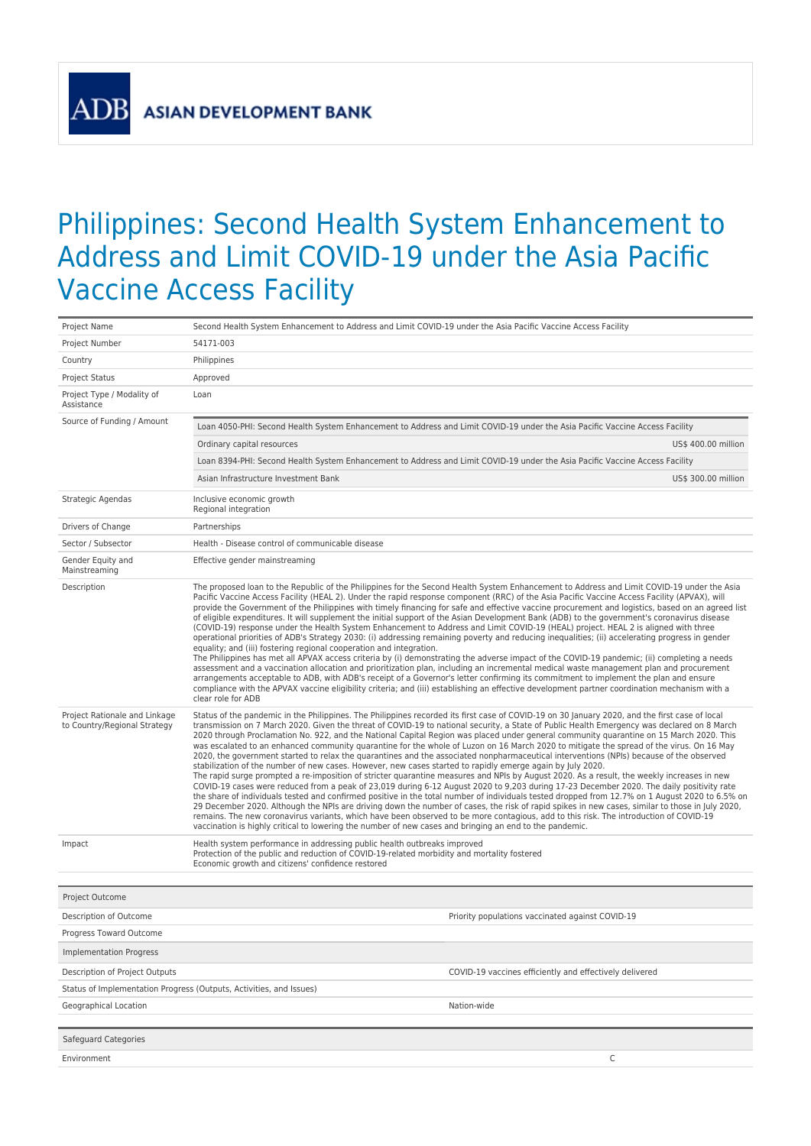**ADB** 

## Philippines: Second Health System Enhancement to Address and Limit COVID-19 under the Asia Pacific Vaccine Access Facility

| Project Name                                                  | Second Health System Enhancement to Address and Limit COVID-19 under the Asia Pacific Vaccine Access Facility                                                                                                                                                                                                                                                                                                                                                                                                                                                                                                                                                                                                                                                                                                                                                                                                                                                                                                                                                                                                                                                                                                                                                                                                                                                                                                                                                                                                                                                                                                                                                                                     |  |  |  |  |
|---------------------------------------------------------------|---------------------------------------------------------------------------------------------------------------------------------------------------------------------------------------------------------------------------------------------------------------------------------------------------------------------------------------------------------------------------------------------------------------------------------------------------------------------------------------------------------------------------------------------------------------------------------------------------------------------------------------------------------------------------------------------------------------------------------------------------------------------------------------------------------------------------------------------------------------------------------------------------------------------------------------------------------------------------------------------------------------------------------------------------------------------------------------------------------------------------------------------------------------------------------------------------------------------------------------------------------------------------------------------------------------------------------------------------------------------------------------------------------------------------------------------------------------------------------------------------------------------------------------------------------------------------------------------------------------------------------------------------------------------------------------------------|--|--|--|--|
| Project Number                                                | 54171-003                                                                                                                                                                                                                                                                                                                                                                                                                                                                                                                                                                                                                                                                                                                                                                                                                                                                                                                                                                                                                                                                                                                                                                                                                                                                                                                                                                                                                                                                                                                                                                                                                                                                                         |  |  |  |  |
| Country                                                       | Philippines                                                                                                                                                                                                                                                                                                                                                                                                                                                                                                                                                                                                                                                                                                                                                                                                                                                                                                                                                                                                                                                                                                                                                                                                                                                                                                                                                                                                                                                                                                                                                                                                                                                                                       |  |  |  |  |
| <b>Project Status</b>                                         | Approved                                                                                                                                                                                                                                                                                                                                                                                                                                                                                                                                                                                                                                                                                                                                                                                                                                                                                                                                                                                                                                                                                                                                                                                                                                                                                                                                                                                                                                                                                                                                                                                                                                                                                          |  |  |  |  |
| Project Type / Modality of<br>Assistance                      | Loan                                                                                                                                                                                                                                                                                                                                                                                                                                                                                                                                                                                                                                                                                                                                                                                                                                                                                                                                                                                                                                                                                                                                                                                                                                                                                                                                                                                                                                                                                                                                                                                                                                                                                              |  |  |  |  |
| Source of Funding / Amount                                    | Loan 4050-PHI: Second Health System Enhancement to Address and Limit COVID-19 under the Asia Pacific Vaccine Access Facility                                                                                                                                                                                                                                                                                                                                                                                                                                                                                                                                                                                                                                                                                                                                                                                                                                                                                                                                                                                                                                                                                                                                                                                                                                                                                                                                                                                                                                                                                                                                                                      |  |  |  |  |
|                                                               | Ordinary capital resources<br>US\$ 400.00 million                                                                                                                                                                                                                                                                                                                                                                                                                                                                                                                                                                                                                                                                                                                                                                                                                                                                                                                                                                                                                                                                                                                                                                                                                                                                                                                                                                                                                                                                                                                                                                                                                                                 |  |  |  |  |
|                                                               | Loan 8394-PHI: Second Health System Enhancement to Address and Limit COVID-19 under the Asia Pacific Vaccine Access Facility                                                                                                                                                                                                                                                                                                                                                                                                                                                                                                                                                                                                                                                                                                                                                                                                                                                                                                                                                                                                                                                                                                                                                                                                                                                                                                                                                                                                                                                                                                                                                                      |  |  |  |  |
|                                                               | Asian Infrastructure Investment Bank<br>US\$ 300.00 million                                                                                                                                                                                                                                                                                                                                                                                                                                                                                                                                                                                                                                                                                                                                                                                                                                                                                                                                                                                                                                                                                                                                                                                                                                                                                                                                                                                                                                                                                                                                                                                                                                       |  |  |  |  |
| Strategic Agendas                                             | Inclusive economic growth<br>Regional integration                                                                                                                                                                                                                                                                                                                                                                                                                                                                                                                                                                                                                                                                                                                                                                                                                                                                                                                                                                                                                                                                                                                                                                                                                                                                                                                                                                                                                                                                                                                                                                                                                                                 |  |  |  |  |
| Drivers of Change                                             | Partnerships                                                                                                                                                                                                                                                                                                                                                                                                                                                                                                                                                                                                                                                                                                                                                                                                                                                                                                                                                                                                                                                                                                                                                                                                                                                                                                                                                                                                                                                                                                                                                                                                                                                                                      |  |  |  |  |
| Sector / Subsector                                            | Health - Disease control of communicable disease                                                                                                                                                                                                                                                                                                                                                                                                                                                                                                                                                                                                                                                                                                                                                                                                                                                                                                                                                                                                                                                                                                                                                                                                                                                                                                                                                                                                                                                                                                                                                                                                                                                  |  |  |  |  |
| Gender Equity and<br>Mainstreaming                            | Effective gender mainstreaming                                                                                                                                                                                                                                                                                                                                                                                                                                                                                                                                                                                                                                                                                                                                                                                                                                                                                                                                                                                                                                                                                                                                                                                                                                                                                                                                                                                                                                                                                                                                                                                                                                                                    |  |  |  |  |
| Description                                                   | The proposed loan to the Republic of the Philippines for the Second Health System Enhancement to Address and Limit COVID-19 under the Asia<br>Pacific Vaccine Access Facility (HEAL 2). Under the rapid response component (RRC) of the Asia Pacific Vaccine Access Facility (APVAX), will<br>provide the Government of the Philippines with timely financing for safe and effective vaccine procurement and logistics, based on an agreed list<br>of eligible expenditures. It will supplement the initial support of the Asian Development Bank (ADB) to the government's coronavirus disease<br>(COVID-19) response under the Health System Enhancement to Address and Limit COVID-19 (HEAL) project. HEAL 2 is aligned with three<br>operational priorities of ADB's Strategy 2030: (i) addressing remaining poverty and reducing inequalities; (ii) accelerating progress in gender<br>equality; and (iii) fostering regional cooperation and integration.<br>The Philippines has met all APVAX access criteria by (i) demonstrating the adverse impact of the COVID-19 pandemic; (ii) completing a needs<br>assessment and a vaccination allocation and prioritization plan, including an incremental medical waste management plan and procurement<br>arrangements acceptable to ADB, with ADB's receipt of a Governor's letter confirming its commitment to implement the plan and ensure<br>compliance with the APVAX vaccine eligibility criteria; and (iii) establishing an effective development partner coordination mechanism with a<br>clear role for ADB                                                                                                                          |  |  |  |  |
| Project Rationale and Linkage<br>to Country/Regional Strategy | Status of the pandemic in the Philippines. The Philippines recorded its first case of COVID-19 on 30 January 2020, and the first case of local<br>transmission on 7 March 2020. Given the threat of COVID-19 to national security, a State of Public Health Emergency was declared on 8 March<br>2020 through Proclamation No. 922, and the National Capital Region was placed under general community quarantine on 15 March 2020. This<br>was escalated to an enhanced community quarantine for the whole of Luzon on 16 March 2020 to mitigate the spread of the virus. On 16 May<br>2020, the government started to relax the quarantines and the associated nonpharmaceutical interventions (NPIs) because of the observed<br>stabilization of the number of new cases. However, new cases started to rapidly emerge again by July 2020.<br>The rapid surge prompted a re-imposition of stricter quarantine measures and NPIs by August 2020. As a result, the weekly increases in new<br>COVID-19 cases were reduced from a peak of 23,019 during 6-12 August 2020 to 9,203 during 17-23 December 2020. The daily positivity rate<br>the share of individuals tested and confirmed positive in the total number of individuals tested dropped from 12.7% on 1 August 2020 to 6.5% on<br>29 December 2020. Although the NPIs are driving down the number of cases, the risk of rapid spikes in new cases, similar to those in July 2020,<br>remains. The new coronavirus variants, which have been observed to be more contagious, add to this risk. The introduction of COVID-19<br>vaccination is highly critical to lowering the number of new cases and bringing an end to the pandemic. |  |  |  |  |
| Impact                                                        | Health system performance in addressing public health outbreaks improved<br>Protection of the public and reduction of COVID-19-related morbidity and mortality fostered<br>Economic growth and citizens' confidence restored                                                                                                                                                                                                                                                                                                                                                                                                                                                                                                                                                                                                                                                                                                                                                                                                                                                                                                                                                                                                                                                                                                                                                                                                                                                                                                                                                                                                                                                                      |  |  |  |  |
|                                                               |                                                                                                                                                                                                                                                                                                                                                                                                                                                                                                                                                                                                                                                                                                                                                                                                                                                                                                                                                                                                                                                                                                                                                                                                                                                                                                                                                                                                                                                                                                                                                                                                                                                                                                   |  |  |  |  |
| Project Outcome                                               |                                                                                                                                                                                                                                                                                                                                                                                                                                                                                                                                                                                                                                                                                                                                                                                                                                                                                                                                                                                                                                                                                                                                                                                                                                                                                                                                                                                                                                                                                                                                                                                                                                                                                                   |  |  |  |  |
| Description of Outcome                                        | Priority populations vaccinated against COVID-19                                                                                                                                                                                                                                                                                                                                                                                                                                                                                                                                                                                                                                                                                                                                                                                                                                                                                                                                                                                                                                                                                                                                                                                                                                                                                                                                                                                                                                                                                                                                                                                                                                                  |  |  |  |  |
| Progress Toward Outcome                                       |                                                                                                                                                                                                                                                                                                                                                                                                                                                                                                                                                                                                                                                                                                                                                                                                                                                                                                                                                                                                                                                                                                                                                                                                                                                                                                                                                                                                                                                                                                                                                                                                                                                                                                   |  |  |  |  |
| <b>Implementation Progress</b>                                |                                                                                                                                                                                                                                                                                                                                                                                                                                                                                                                                                                                                                                                                                                                                                                                                                                                                                                                                                                                                                                                                                                                                                                                                                                                                                                                                                                                                                                                                                                                                                                                                                                                                                                   |  |  |  |  |
| Description of Project Outputs                                | COVID-19 vaccines efficiently and effectively delivered                                                                                                                                                                                                                                                                                                                                                                                                                                                                                                                                                                                                                                                                                                                                                                                                                                                                                                                                                                                                                                                                                                                                                                                                                                                                                                                                                                                                                                                                                                                                                                                                                                           |  |  |  |  |
|                                                               | Status of Implementation Progress (Outputs, Activities, and Issues)                                                                                                                                                                                                                                                                                                                                                                                                                                                                                                                                                                                                                                                                                                                                                                                                                                                                                                                                                                                                                                                                                                                                                                                                                                                                                                                                                                                                                                                                                                                                                                                                                               |  |  |  |  |
| Geographical Location                                         | Nation-wide                                                                                                                                                                                                                                                                                                                                                                                                                                                                                                                                                                                                                                                                                                                                                                                                                                                                                                                                                                                                                                                                                                                                                                                                                                                                                                                                                                                                                                                                                                                                                                                                                                                                                       |  |  |  |  |
|                                                               |                                                                                                                                                                                                                                                                                                                                                                                                                                                                                                                                                                                                                                                                                                                                                                                                                                                                                                                                                                                                                                                                                                                                                                                                                                                                                                                                                                                                                                                                                                                                                                                                                                                                                                   |  |  |  |  |
| Safeguard Categories                                          |                                                                                                                                                                                                                                                                                                                                                                                                                                                                                                                                                                                                                                                                                                                                                                                                                                                                                                                                                                                                                                                                                                                                                                                                                                                                                                                                                                                                                                                                                                                                                                                                                                                                                                   |  |  |  |  |
| Environment                                                   | C                                                                                                                                                                                                                                                                                                                                                                                                                                                                                                                                                                                                                                                                                                                                                                                                                                                                                                                                                                                                                                                                                                                                                                                                                                                                                                                                                                                                                                                                                                                                                                                                                                                                                                 |  |  |  |  |